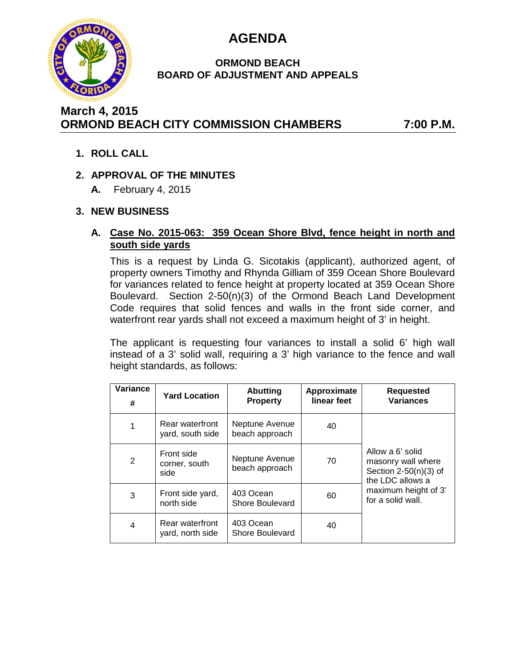

# **AGENDA**

#### **ORMOND BEACH BOARD OF ADJUSTMENT AND APPEALS**

# **March 4, 2015 ORMOND BEACH CITY COMMISSION CHAMBERS 7:00 P.M.**

**1. ROLL CALL**

## **2. APPROVAL OF THE MINUTES**

**A.** February 4, 2015

## **3. NEW BUSINESS**

#### **A. Case No. 2015-063: 359 Ocean Shore Blvd, fence height in north and south side yards**

This is a request by Linda G. Sicotakis (applicant), authorized agent, of property owners Timothy and Rhynda Gilliam of 359 Ocean Shore Boulevard for variances related to fence height at property located at 359 Ocean Shore Boulevard. Section 2-50(n)(3) of the Ormond Beach Land Development Code requires that solid fences and walls in the front side corner, and waterfront rear yards shall not exceed a maximum height of 3' in height.

The applicant is requesting four variances to install a solid 6' high wall instead of a 3' solid wall, requiring a 3' high variance to the fence and wall height standards, as follows:

| Variance<br># | <b>Yard Location</b>                | <b>Abutting</b><br><b>Property</b> | Approximate<br>linear feet | <b>Requested</b><br><b>Variances</b>                                                                                               |
|---------------|-------------------------------------|------------------------------------|----------------------------|------------------------------------------------------------------------------------------------------------------------------------|
| 1             | Rear waterfront<br>yard, south side | Neptune Avenue<br>beach approach   | 40                         | Allow a 6' solid<br>masonry wall where<br>Section $2-50(n)(3)$ of<br>the LDC allows a<br>maximum height of 3'<br>for a solid wall. |
| 2             | Front side<br>corner, south<br>side | Neptune Avenue<br>beach approach   | 70                         |                                                                                                                                    |
| 3             | Front side yard,<br>north side      | 403 Ocean<br>Shore Boulevard       | 60                         |                                                                                                                                    |
| 4             | Rear waterfront<br>yard, north side | 403 Ocean<br>Shore Boulevard       | 40                         |                                                                                                                                    |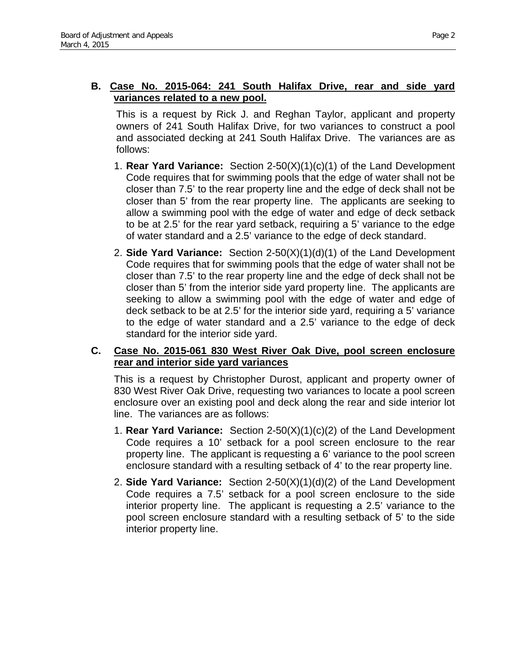#### **B. Case No. 2015-064: 241 South Halifax Drive, rear and side yard variances related to a new pool.**

This is a request by Rick J. and Reghan Taylor, applicant and property owners of 241 South Halifax Drive, for two variances to construct a pool and associated decking at 241 South Halifax Drive. The variances are as follows:

- 1. **Rear Yard Variance:** Section 2-50(X)(1)(c)(1) of the Land Development Code requires that for swimming pools that the edge of water shall not be closer than 7.5' to the rear property line and the edge of deck shall not be closer than 5' from the rear property line. The applicants are seeking to allow a swimming pool with the edge of water and edge of deck setback to be at 2.5' for the rear yard setback, requiring a 5' variance to the edge of water standard and a 2.5' variance to the edge of deck standard.
- 2. **Side Yard Variance:** Section 2-50(X)(1)(d)(1) of the Land Development Code requires that for swimming pools that the edge of water shall not be closer than 7.5' to the rear property line and the edge of deck shall not be closer than 5' from the interior side yard property line. The applicants are seeking to allow a swimming pool with the edge of water and edge of deck setback to be at 2.5' for the interior side yard, requiring a 5' variance to the edge of water standard and a 2.5' variance to the edge of deck standard for the interior side yard.

#### **C. Case No. 2015-061 830 West River Oak Dive, pool screen enclosure rear and interior side yard variances**

This is a request by Christopher Durost, applicant and property owner of 830 West River Oak Drive, requesting two variances to locate a pool screen enclosure over an existing pool and deck along the rear and side interior lot line. The variances are as follows:

- 1. **Rear Yard Variance:** Section 2-50(X)(1)(c)(2) of the Land Development Code requires a 10' setback for a pool screen enclosure to the rear property line. The applicant is requesting a 6' variance to the pool screen enclosure standard with a resulting setback of 4' to the rear property line.
- 2. **Side Yard Variance:** Section 2-50(X)(1)(d)(2) of the Land Development Code requires a 7.5' setback for a pool screen enclosure to the side interior property line. The applicant is requesting a 2.5' variance to the pool screen enclosure standard with a resulting setback of 5' to the side interior property line.